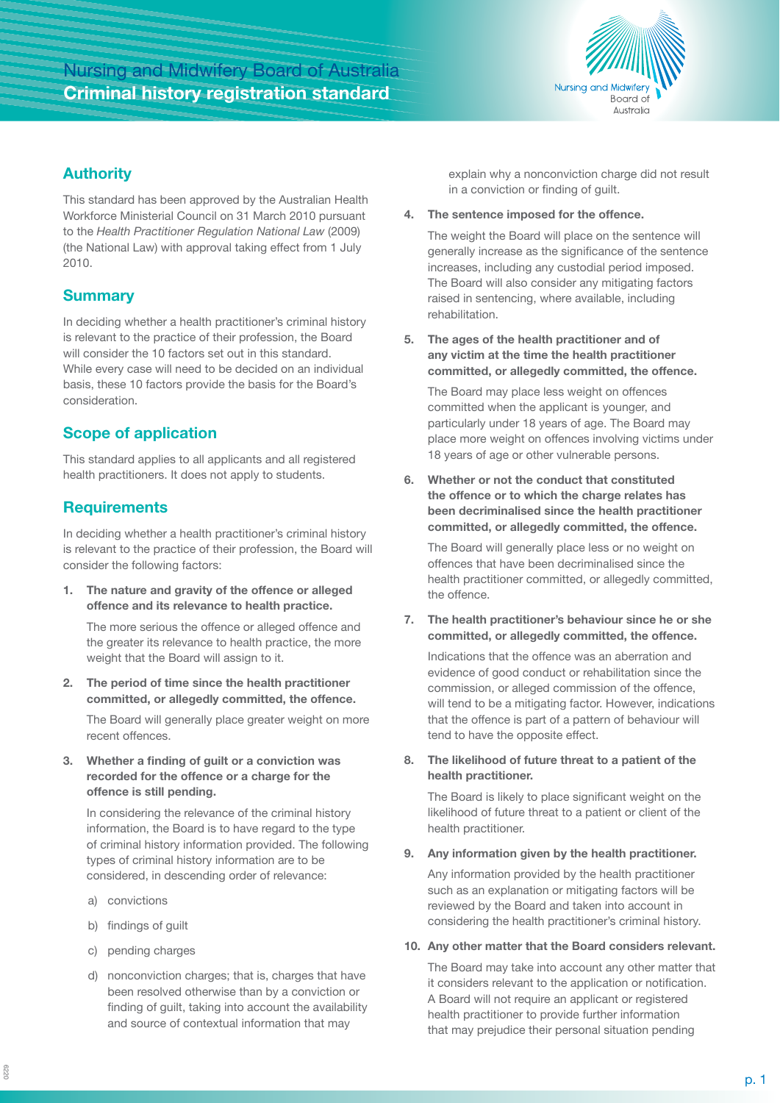# Nursing and Midwifery Board of Australia **Criminal history registration standard**



### **Authority**

This standard has been approved by the Australian Health Workforce Ministerial Council on 31 March 2010 pursuant to the *Health Practitioner Regulation National Law* (2009) (the National Law) with approval taking effect from 1 July 2010.

# **Summary**

In deciding whether a health practitioner's criminal history is relevant to the practice of their profession, the Board will consider the 10 factors set out in this standard. While every case will need to be decided on an individual basis, these 10 factors provide the basis for the Board's consideration.

# **Scope of application**

This standard applies to all applicants and all registered health practitioners. It does not apply to students.

### **Requirements**

In deciding whether a health practitioner's criminal history is relevant to the practice of their profession, the Board will consider the following factors:

**1. The nature and gravity of the offence or alleged offence and its relevance to health practice.** 

The more serious the offence or alleged offence and the greater its relevance to health practice, the more weight that the Board will assign to it.

**2. The period of time since the health practitioner committed, or allegedly committed, the offence.**

The Board will generally place greater weight on more recent offences.

**3. Whether a finding of guilt or a conviction was recorded for the offence or a charge for the offence is still pending.**

In considering the relevance of the criminal history information, the Board is to have regard to the type of criminal history information provided. The following types of criminal history information are to be considered, in descending order of relevance:

- a) convictions
- b) findings of guilt
- c) pending charges
- d) nonconviction charges; that is, charges that have been resolved otherwise than by a conviction or finding of guilt, taking into account the availability and source of contextual information that may

explain why a nonconviction charge did not result in a conviction or finding of guilt.

**4. The sentence imposed for the offence.**

The weight the Board will place on the sentence will generally increase as the significance of the sentence increases, including any custodial period imposed. The Board will also consider any mitigating factors raised in sentencing, where available, including rehabilitation.

**5. The ages of the health practitioner and of any victim at the time the health practitioner committed, or allegedly committed, the offence.**

The Board may place less weight on offences committed when the applicant is younger, and particularly under 18 years of age. The Board may place more weight on offences involving victims under 18 years of age or other vulnerable persons.

**6. Whether or not the conduct that constituted the offence or to which the charge relates has been decriminalised since the health practitioner committed, or allegedly committed, the offence.**

The Board will generally place less or no weight on offences that have been decriminalised since the health practitioner committed, or allegedly committed, the offence.

**7. The health practitioner's behaviour since he or she committed, or allegedly committed, the offence.**

Indications that the offence was an aberration and evidence of good conduct or rehabilitation since the commission, or alleged commission of the offence, will tend to be a mitigating factor. However, indications that the offence is part of a pattern of behaviour will tend to have the opposite effect.

**8. The likelihood of future threat to a patient of the health practitioner.**

The Board is likely to place significant weight on the likelihood of future threat to a patient or client of the health practitioner.

#### **9. Any information given by the health practitioner.**

Any information provided by the health practitioner such as an explanation or mitigating factors will be reviewed by the Board and taken into account in considering the health practitioner's criminal history.

#### **10. Any other matter that the Board considers relevant.**

The Board may take into account any other matter that it considers relevant to the application or notification. A Board will not require an applicant or registered health practitioner to provide further information that may prejudice their personal situation pending